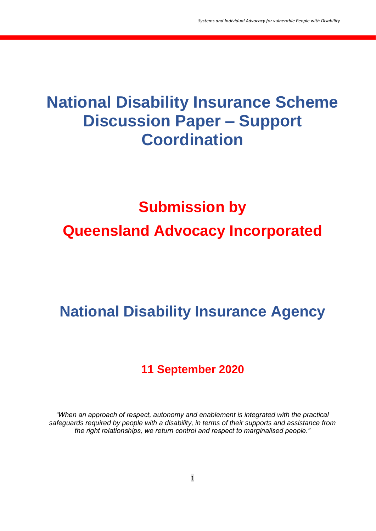## **National Disability Insurance Scheme Discussion Paper – Support Coordination**

# **Submission by Queensland Advocacy Incorporated**

# **National Disability Insurance Agency**

### **11 September 2020**

*"When an approach of respect, autonomy and enablement is integrated with the practical safeguards required by people with a disability, in terms of their supports and assistance from the right relationships, we return control and respect to marginalised people."*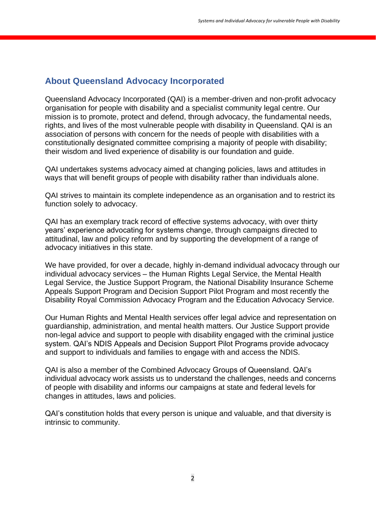#### **About Queensland Advocacy Incorporated**

Queensland Advocacy Incorporated (QAI) is a member-driven and non-profit advocacy organisation for people with disability and a specialist community legal centre. Our mission is to promote, protect and defend, through advocacy, the fundamental needs, rights, and lives of the most vulnerable people with disability in Queensland. QAI is an association of persons with concern for the needs of people with disabilities with a constitutionally designated committee comprising a majority of people with disability; their wisdom and lived experience of disability is our foundation and guide.

QAI undertakes systems advocacy aimed at changing policies, laws and attitudes in ways that will benefit groups of people with disability rather than individuals alone.

QAI strives to maintain its complete independence as an organisation and to restrict its function solely to advocacy.

QAI has an exemplary track record of effective systems advocacy, with over thirty years' experience advocating for systems change, through campaigns directed to attitudinal, law and policy reform and by supporting the development of a range of advocacy initiatives in this state.

We have provided, for over a decade, highly in-demand individual advocacy through our individual advocacy services – the Human Rights Legal Service, the Mental Health Legal Service, the Justice Support Program, the National Disability Insurance Scheme Appeals Support Program and Decision Support Pilot Program and most recently the Disability Royal Commission Advocacy Program and the Education Advocacy Service.

Our Human Rights and Mental Health services offer legal advice and representation on guardianship, administration, and mental health matters. Our Justice Support provide non-legal advice and support to people with disability engaged with the criminal justice system. QAI's NDIS Appeals and Decision Support Pilot Programs provide advocacy and support to individuals and families to engage with and access the NDIS.

QAI is also a member of the Combined Advocacy Groups of Queensland. QAI's individual advocacy work assists us to understand the challenges, needs and concerns of people with disability and informs our campaigns at state and federal levels for changes in attitudes, laws and policies.

QAI's constitution holds that every person is unique and valuable, and that diversity is intrinsic to community.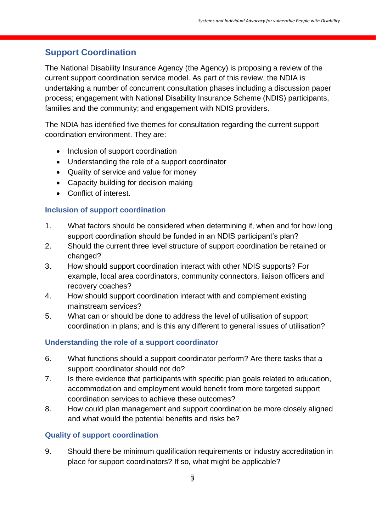### **Support Coordination**

The National Disability Insurance Agency (the Agency) is proposing a review of the current support coordination service model. As part of this review, the NDIA is undertaking a number of concurrent consultation phases including a discussion paper process; engagement with National Disability Insurance Scheme (NDIS) participants, families and the community; and engagement with NDIS providers.

The NDIA has identified five themes for consultation regarding the current support coordination environment. They are:

- Inclusion of support coordination
- Understanding the role of a support coordinator
- Quality of service and value for money
- Capacity building for decision making
- Conflict of interest.

#### **Inclusion of support coordination**

- 1. What factors should be considered when determining if, when and for how long support coordination should be funded in an NDIS participant's plan?
- 2. Should the current three level structure of support coordination be retained or changed?
- 3. How should support coordination interact with other NDIS supports? For example, local area coordinators, community connectors, liaison officers and recovery coaches?
- 4. How should support coordination interact with and complement existing mainstream services?
- 5. What can or should be done to address the level of utilisation of support coordination in plans; and is this any different to general issues of utilisation?

#### **Understanding the role of a support coordinator**

- 6. What functions should a support coordinator perform? Are there tasks that a support coordinator should not do?
- 7. Is there evidence that participants with specific plan goals related to education, accommodation and employment would benefit from more targeted support coordination services to achieve these outcomes?
- 8. How could plan management and support coordination be more closely aligned and what would the potential benefits and risks be?

#### **Quality of support coordination**

9. Should there be minimum qualification requirements or industry accreditation in place for support coordinators? If so, what might be applicable?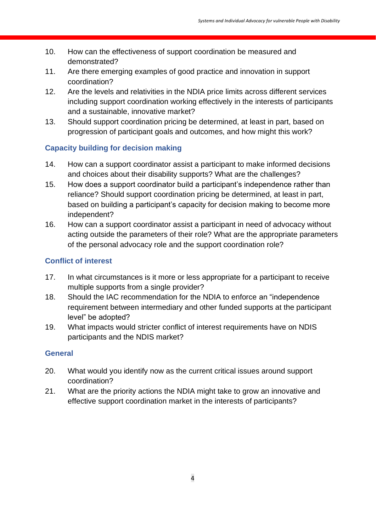- 10. How can the effectiveness of support coordination be measured and demonstrated?
- 11. Are there emerging examples of good practice and innovation in support coordination?
- 12. Are the levels and relativities in the NDIA price limits across different services including support coordination working effectively in the interests of participants and a sustainable, innovative market?
- 13. Should support coordination pricing be determined, at least in part, based on progression of participant goals and outcomes, and how might this work?

#### **Capacity building for decision making**

- 14. How can a support coordinator assist a participant to make informed decisions and choices about their disability supports? What are the challenges?
- 15. How does a support coordinator build a participant's independence rather than reliance? Should support coordination pricing be determined, at least in part, based on building a participant's capacity for decision making to become more independent?
- 16. How can a support coordinator assist a participant in need of advocacy without acting outside the parameters of their role? What are the appropriate parameters of the personal advocacy role and the support coordination role?

#### **Conflict of interest**

- 17. In what circumstances is it more or less appropriate for a participant to receive multiple supports from a single provider?
- 18. Should the IAC recommendation for the NDIA to enforce an "independence requirement between intermediary and other funded supports at the participant level" be adopted?
- 19. What impacts would stricter conflict of interest requirements have on NDIS participants and the NDIS market?

#### **General**

- 20. What would you identify now as the current critical issues around support coordination?
- 21. What are the priority actions the NDIA might take to grow an innovative and effective support coordination market in the interests of participants?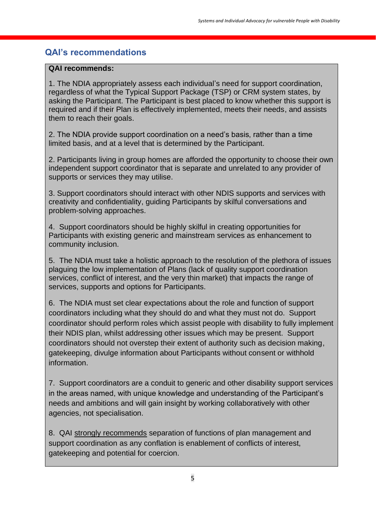### **QAI's recommendations**

#### **QAI recommends:**

1. The NDIA appropriately assess each individual's need for support coordination, regardless of what the Typical Support Package (TSP) or CRM system states, by asking the Participant. The Participant is best placed to know whether this support is required and if their Plan is effectively implemented, meets their needs, and assists them to reach their goals.

2. The NDIA provide support coordination on a need's basis, rather than a time limited basis, and at a level that is determined by the Participant.

2. Participants living in group homes are afforded the opportunity to choose their own independent support coordinator that is separate and unrelated to any provider of supports or services they may utilise.

3. Support coordinators should interact with other NDIS supports and services with creativity and confidentiality, guiding Participants by skilful conversations and problem-solving approaches.

4. Support coordinators should be highly skilful in creating opportunities for Participants with existing generic and mainstream services as enhancement to community inclusion.

5. The NDIA must take a holistic approach to the resolution of the plethora of issues plaguing the low implementation of Plans (lack of quality support coordination services, conflict of interest, and the very thin market) that impacts the range of services, supports and options for Participants.

6. The NDIA must set clear expectations about the role and function of support coordinators including what they should do and what they must not do. Support coordinator should perform roles which assist people with disability to fully implement their NDIS plan, whilst addressing other issues which may be present. Support coordinators should not overstep their extent of authority such as decision making, gatekeeping, divulge information about Participants without consent or withhold information.

7. Support coordinators are a conduit to generic and other disability support services in the areas named, with unique knowledge and understanding of the Participant's needs and ambitions and will gain insight by working collaboratively with other agencies, not specialisation.

8. QAI strongly recommends separation of functions of plan management and support coordination as any conflation is enablement of conflicts of interest, gatekeeping and potential for coercion.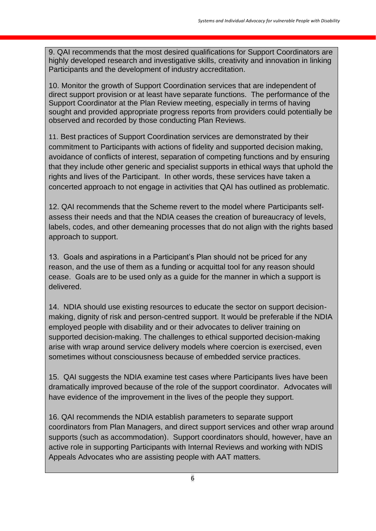9. QAI recommends that the most desired qualifications for Support Coordinators are highly developed research and investigative skills, creativity and innovation in linking Participants and the development of industry accreditation.

10. Monitor the growth of Support Coordination services that are independent of direct support provision or at least have separate functions. The performance of the Support Coordinator at the Plan Review meeting, especially in terms of having sought and provided appropriate progress reports from providers could potentially be observed and recorded by those conducting Plan Reviews.

11. Best practices of Support Coordination services are demonstrated by their commitment to Participants with actions of fidelity and supported decision making, avoidance of conflicts of interest, separation of competing functions and by ensuring that they include other generic and specialist supports in ethical ways that uphold the rights and lives of the Participant. In other words, these services have taken a concerted approach to not engage in activities that QAI has outlined as problematic.

12. QAI recommends that the Scheme revert to the model where Participants selfassess their needs and that the NDIA ceases the creation of bureaucracy of levels, labels, codes, and other demeaning processes that do not align with the rights based approach to support.

13. Goals and aspirations in a Participant's Plan should not be priced for any reason, and the use of them as a funding or acquittal tool for any reason should cease. Goals are to be used only as a guide for the manner in which a support is delivered.

14. NDIA should use existing resources to educate the sector on support decisionmaking, dignity of risk and person-centred support. It would be preferable if the NDIA employed people with disability and or their advocates to deliver training on supported decision-making. The challenges to ethical supported decision-making arise with wrap around service delivery models where coercion is exercised, even sometimes without consciousness because of embedded service practices.

15. QAI suggests the NDIA examine test cases where Participants lives have been dramatically improved because of the role of the support coordinator. Advocates will have evidence of the improvement in the lives of the people they support.

16. QAI recommends the NDIA establish parameters to separate support coordinators from Plan Managers, and direct support services and other wrap around supports (such as accommodation). Support coordinators should, however, have an active role in supporting Participants with Internal Reviews and working with NDIS Appeals Advocates who are assisting people with AAT matters.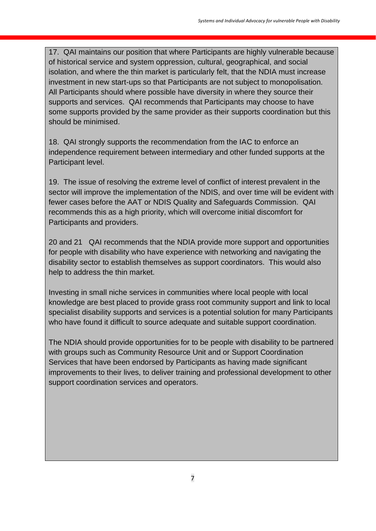17. QAI maintains our position that where Participants are highly vulnerable because of historical service and system oppression, cultural, geographical, and social isolation, and where the thin market is particularly felt, that the NDIA must increase investment in new start-ups so that Participants are not subject to monopolisation. All Participants should where possible have diversity in where they source their supports and services. QAI recommends that Participants may choose to have some supports provided by the same provider as their supports coordination but this should be minimised.

18. QAI strongly supports the recommendation from the IAC to enforce an independence requirement between intermediary and other funded supports at the Participant level.

19. The issue of resolving the extreme level of conflict of interest prevalent in the sector will improve the implementation of the NDIS, and over time will be evident with fewer cases before the AAT or NDIS Quality and Safeguards Commission. QAI recommends this as a high priority, which will overcome initial discomfort for Participants and providers.

20 and 21 QAI recommends that the NDIA provide more support and opportunities for people with disability who have experience with networking and navigating the disability sector to establish themselves as support coordinators. This would also help to address the thin market.

Investing in small niche services in communities where local people with local knowledge are best placed to provide grass root community support and link to local specialist disability supports and services is a potential solution for many Participants who have found it difficult to source adequate and suitable support coordination.

The NDIA should provide opportunities for to be people with disability to be partnered with groups such as Community Resource Unit and or Support Coordination Services that have been endorsed by Participants as having made significant improvements to their lives, to deliver training and professional development to other support coordination services and operators.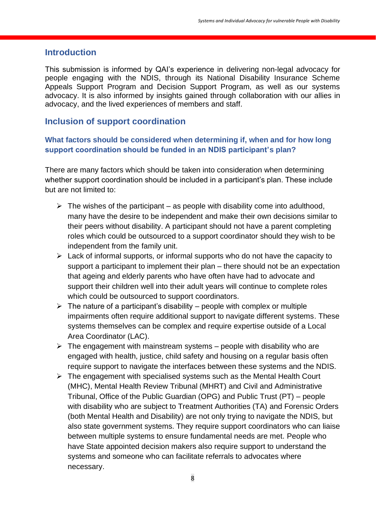#### **Introduction**

This submission is informed by QAI's experience in delivering non-legal advocacy for people engaging with the NDIS, through its National Disability Insurance Scheme Appeals Support Program and Decision Support Program, as well as our systems advocacy. It is also informed by insights gained through collaboration with our allies in advocacy, and the lived experiences of members and staff.

#### **Inclusion of support coordination**

#### **What factors should be considered when determining if, when and for how long support coordination should be funded in an NDIS participant's plan?**

There are many factors which should be taken into consideration when determining whether support coordination should be included in a participant's plan. These include but are not limited to:

- $\triangleright$  The wishes of the participant as people with disability come into adulthood, many have the desire to be independent and make their own decisions similar to their peers without disability. A participant should not have a parent completing roles which could be outsourced to a support coordinator should they wish to be independent from the family unit.
- $\triangleright$  Lack of informal supports, or informal supports who do not have the capacity to support a participant to implement their plan – there should not be an expectation that ageing and elderly parents who have often have had to advocate and support their children well into their adult years will continue to complete roles which could be outsourced to support coordinators.
- $\triangleright$  The nature of a participant's disability people with complex or multiple impairments often require additional support to navigate different systems. These systems themselves can be complex and require expertise outside of a Local Area Coordinator (LAC).
- $\triangleright$  The engagement with mainstream systems people with disability who are engaged with health, justice, child safety and housing on a regular basis often require support to navigate the interfaces between these systems and the NDIS.
- ➢ The engagement with specialised systems such as the Mental Health Court (MHC), Mental Health Review Tribunal (MHRT) and Civil and Administrative Tribunal, Office of the Public Guardian (OPG) and Public Trust (PT) – people with disability who are subject to Treatment Authorities (TA) and Forensic Orders (both Mental Health and Disability) are not only trying to navigate the NDIS, but also state government systems. They require support coordinators who can liaise between multiple systems to ensure fundamental needs are met. People who have State appointed decision makers also require support to understand the systems and someone who can facilitate referrals to advocates where necessary.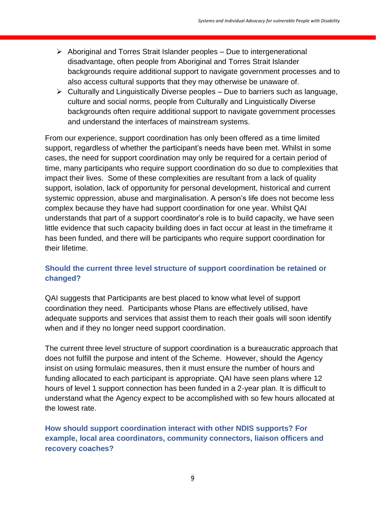- ➢ Aboriginal and Torres Strait Islander peoples Due to intergenerational disadvantage, often people from Aboriginal and Torres Strait Islander backgrounds require additional support to navigate government processes and to also access cultural supports that they may otherwise be unaware of.
- $\triangleright$  Culturally and Linguistically Diverse peoples Due to barriers such as language, culture and social norms, people from Culturally and Linguistically Diverse backgrounds often require additional support to navigate government processes and understand the interfaces of mainstream systems.

From our experience, support coordination has only been offered as a time limited support, regardless of whether the participant's needs have been met. Whilst in some cases, the need for support coordination may only be required for a certain period of time, many participants who require support coordination do so due to complexities that impact their lives. Some of these complexities are resultant from a lack of quality support, isolation, lack of opportunity for personal development, historical and current systemic oppression, abuse and marginalisation. A person's life does not become less complex because they have had support coordination for one year. Whilst QAI understands that part of a support coordinator's role is to build capacity, we have seen little evidence that such capacity building does in fact occur at least in the timeframe it has been funded, and there will be participants who require support coordination for their lifetime.

#### **Should the current three level structure of support coordination be retained or changed?**

QAI suggests that Participants are best placed to know what level of support coordination they need. Participants whose Plans are effectively utilised, have adequate supports and services that assist them to reach their goals will soon identify when and if they no longer need support coordination.

The current three level structure of support coordination is a bureaucratic approach that does not fulfill the purpose and intent of the Scheme. However, should the Agency insist on using formulaic measures, then it must ensure the number of hours and funding allocated to each participant is appropriate. QAI have seen plans where 12 hours of level 1 support connection has been funded in a 2-year plan. It is difficult to understand what the Agency expect to be accomplished with so few hours allocated at the lowest rate.

#### **How should support coordination interact with other NDIS supports? For example, local area coordinators, community connectors, liaison officers and recovery coaches?**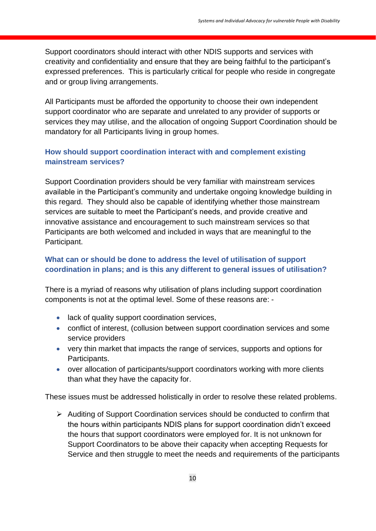Support coordinators should interact with other NDIS supports and services with creativity and confidentiality and ensure that they are being faithful to the participant's expressed preferences. This is particularly critical for people who reside in congregate and or group living arrangements.

All Participants must be afforded the opportunity to choose their own independent support coordinator who are separate and unrelated to any provider of supports or services they may utilise, and the allocation of ongoing Support Coordination should be mandatory for all Participants living in group homes.

#### **How should support coordination interact with and complement existing mainstream services?**

Support Coordination providers should be very familiar with mainstream services available in the Participant's community and undertake ongoing knowledge building in this regard. They should also be capable of identifying whether those mainstream services are suitable to meet the Participant's needs, and provide creative and innovative assistance and encouragement to such mainstream services so that Participants are both welcomed and included in ways that are meaningful to the Participant.

#### **What can or should be done to address the level of utilisation of support coordination in plans; and is this any different to general issues of utilisation?**

There is a myriad of reasons why utilisation of plans including support coordination components is not at the optimal level. Some of these reasons are: -

- lack of quality support coordination services,
- conflict of interest, (collusion between support coordination services and some service providers
- very thin market that impacts the range of services, supports and options for Participants.
- over allocation of participants/support coordinators working with more clients than what they have the capacity for.

These issues must be addressed holistically in order to resolve these related problems.

➢ Auditing of Support Coordination services should be conducted to confirm that the hours within participants NDIS plans for support coordination didn't exceed the hours that support coordinators were employed for. It is not unknown for Support Coordinators to be above their capacity when accepting Requests for Service and then struggle to meet the needs and requirements of the participants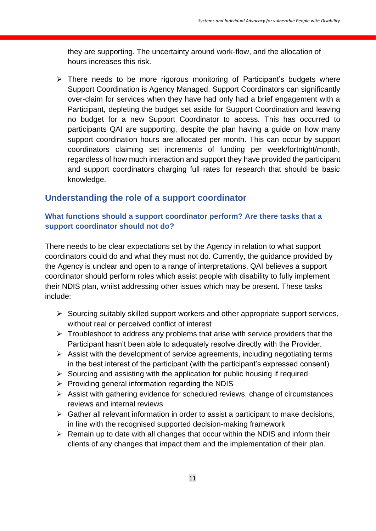they are supporting. The uncertainty around work-flow, and the allocation of hours increases this risk.

➢ There needs to be more rigorous monitoring of Participant's budgets where Support Coordination is Agency Managed. Support Coordinators can significantly over-claim for services when they have had only had a brief engagement with a Participant, depleting the budget set aside for Support Coordination and leaving no budget for a new Support Coordinator to access. This has occurred to participants QAI are supporting, despite the plan having a guide on how many support coordination hours are allocated per month. This can occur by support coordinators claiming set increments of funding per week/fortnight/month, regardless of how much interaction and support they have provided the participant and support coordinators charging full rates for research that should be basic knowledge.

#### **Understanding the role of a support coordinator**

#### **What functions should a support coordinator perform? Are there tasks that a support coordinator should not do?**

There needs to be clear expectations set by the Agency in relation to what support coordinators could do and what they must not do. Currently, the guidance provided by the Agency is unclear and open to a range of interpretations. QAI believes a support coordinator should perform roles which assist people with disability to fully implement their NDIS plan, whilst addressing other issues which may be present. These tasks include:

- ➢ Sourcing suitably skilled support workers and other appropriate support services, without real or perceived conflict of interest
- $\triangleright$  Troubleshoot to address any problems that arise with service providers that the Participant hasn't been able to adequately resolve directly with the Provider.
- ➢ Assist with the development of service agreements, including negotiating terms in the best interest of the participant (with the participant's expressed consent)
- $\triangleright$  Sourcing and assisting with the application for public housing if required
- $\triangleright$  Providing general information regarding the NDIS
- ➢ Assist with gathering evidence for scheduled reviews, change of circumstances reviews and internal reviews
- $\triangleright$  Gather all relevant information in order to assist a participant to make decisions, in line with the recognised supported decision-making framework
- $\triangleright$  Remain up to date with all changes that occur within the NDIS and inform their clients of any changes that impact them and the implementation of their plan.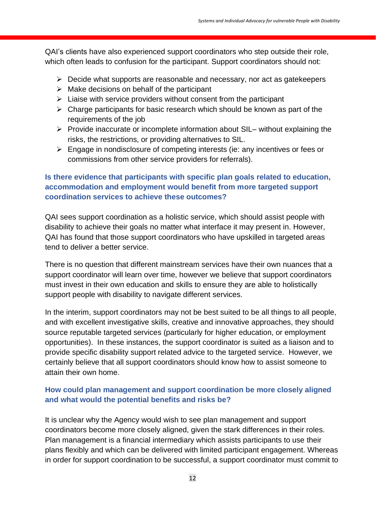QAI's clients have also experienced support coordinators who step outside their role, which often leads to confusion for the participant. Support coordinators should not:

- $\triangleright$  Decide what supports are reasonable and necessary, nor act as gatekeepers
- $\triangleright$  Make decisions on behalf of the participant
- $\triangleright$  Liaise with service providers without consent from the participant
- $\triangleright$  Charge participants for basic research which should be known as part of the requirements of the job
- ➢ Provide inaccurate or incomplete information about SIL– without explaining the risks, the restrictions, or providing alternatives to SIL.
- ➢ Engage in nondisclosure of competing interests (ie: any incentives or fees or commissions from other service providers for referrals).

#### **Is there evidence that participants with specific plan goals related to education, accommodation and employment would benefit from more targeted support coordination services to achieve these outcomes?**

QAI sees support coordination as a holistic service, which should assist people with disability to achieve their goals no matter what interface it may present in. However, QAI has found that those support coordinators who have upskilled in targeted areas tend to deliver a better service.

There is no question that different mainstream services have their own nuances that a support coordinator will learn over time, however we believe that support coordinators must invest in their own education and skills to ensure they are able to holistically support people with disability to navigate different services.

In the interim, support coordinators may not be best suited to be all things to all people, and with excellent investigative skills, creative and innovative approaches, they should source reputable targeted services (particularly for higher education, or employment opportunities). In these instances, the support coordinator is suited as a liaison and to provide specific disability support related advice to the targeted service. However, we certainly believe that all support coordinators should know how to assist someone to attain their own home.

#### **How could plan management and support coordination be more closely aligned and what would the potential benefits and risks be?**

It is unclear why the Agency would wish to see plan management and support coordinators become more closely aligned, given the stark differences in their roles. Plan management is a financial intermediary which assists participants to use their plans flexibly and which can be delivered with limited participant engagement. Whereas in order for support coordination to be successful, a support coordinator must commit to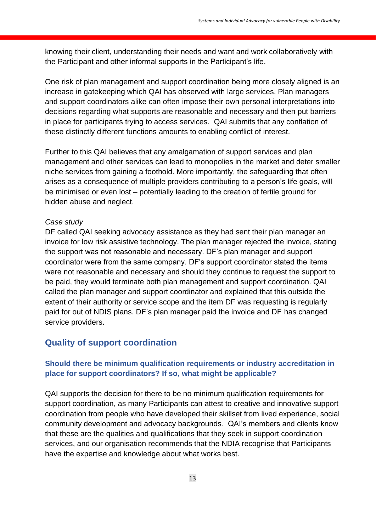knowing their client, understanding their needs and want and work collaboratively with the Participant and other informal supports in the Participant's life.

One risk of plan management and support coordination being more closely aligned is an increase in gatekeeping which QAI has observed with large services. Plan managers and support coordinators alike can often impose their own personal interpretations into decisions regarding what supports are reasonable and necessary and then put barriers in place for participants trying to access services. QAI submits that any conflation of these distinctly different functions amounts to enabling conflict of interest.

Further to this QAI believes that any amalgamation of support services and plan management and other services can lead to monopolies in the market and deter smaller niche services from gaining a foothold. More importantly, the safeguarding that often arises as a consequence of multiple providers contributing to a person's life goals, will be minimised or even lost – potentially leading to the creation of fertile ground for hidden abuse and neglect.

#### *Case study*

DF called QAI seeking advocacy assistance as they had sent their plan manager an invoice for low risk assistive technology. The plan manager rejected the invoice, stating the support was not reasonable and necessary. DF's plan manager and support coordinator were from the same company. DF's support coordinator stated the items were not reasonable and necessary and should they continue to request the support to be paid, they would terminate both plan management and support coordination. QAI called the plan manager and support coordinator and explained that this outside the extent of their authority or service scope and the item DF was requesting is regularly paid for out of NDIS plans. DF's plan manager paid the invoice and DF has changed service providers.

#### **Quality of support coordination**

#### **Should there be minimum qualification requirements or industry accreditation in place for support coordinators? If so, what might be applicable?**

QAI supports the decision for there to be no minimum qualification requirements for support coordination, as many Participants can attest to creative and innovative support coordination from people who have developed their skillset from lived experience, social community development and advocacy backgrounds. QAI's members and clients know that these are the qualities and qualifications that they seek in support coordination services, and our organisation recommends that the NDIA recognise that Participants have the expertise and knowledge about what works best.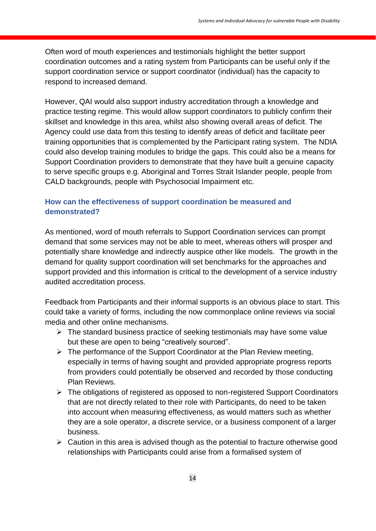Often word of mouth experiences and testimonials highlight the better support coordination outcomes and a rating system from Participants can be useful only if the support coordination service or support coordinator (individual) has the capacity to respond to increased demand.

However, QAI would also support industry accreditation through a knowledge and practice testing regime. This would allow support coordinators to publicly confirm their skillset and knowledge in this area, whilst also showing overall areas of deficit. The Agency could use data from this testing to identify areas of deficit and facilitate peer training opportunities that is complemented by the Participant rating system. The NDIA could also develop training modules to bridge the gaps. This could also be a means for Support Coordination providers to demonstrate that they have built a genuine capacity to serve specific groups e.g. Aboriginal and Torres Strait Islander people, people from CALD backgrounds, people with Psychosocial Impairment etc.

#### **How can the effectiveness of support coordination be measured and demonstrated?**

As mentioned, word of mouth referrals to Support Coordination services can prompt demand that some services may not be able to meet, whereas others will prosper and potentially share knowledge and indirectly auspice other like models. The growth in the demand for quality support coordination will set benchmarks for the approaches and support provided and this information is critical to the development of a service industry audited accreditation process.

Feedback from Participants and their informal supports is an obvious place to start. This could take a variety of forms, including the now commonplace online reviews via social media and other online mechanisms.

- ➢ The standard business practice of seeking testimonials may have some value but these are open to being "creatively sourced".
- ➢ The performance of the Support Coordinator at the Plan Review meeting, especially in terms of having sought and provided appropriate progress reports from providers could potentially be observed and recorded by those conducting Plan Reviews.
- ➢ The obligations of registered as opposed to non-registered Support Coordinators that are not directly related to their role with Participants, do need to be taken into account when measuring effectiveness, as would matters such as whether they are a sole operator, a discrete service, or a business component of a larger business.
- $\triangleright$  Caution in this area is advised though as the potential to fracture otherwise good relationships with Participants could arise from a formalised system of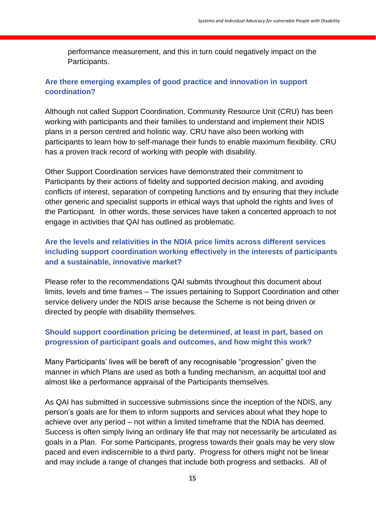performance measurement, and this in turn could negatively impact on the Participants.

#### **Are there emerging examples of good practice and innovation in support coordination?**

Although not called Support Coordination, Community Resource Unit (CRU) has been working with participants and their families to understand and implement their NDIS plans in a person centred and holistic way. CRU have also been working with participants to learn how to self-manage their funds to enable maximum flexibility. CRU has a proven track record of working with people with disability.

Other Support Coordination services have demonstrated their commitment to Participants by their actions of fidelity and supported decision making, and avoiding conflicts of interest, separation of competing functions and by ensuring that they include other generic and specialist supports in ethical ways that uphold the rights and lives of the Participant. In other words, these services have taken a concerted approach to not engage in activities that QAI has outlined as problematic.

#### **Are the levels and relativities in the NDIA price limits across different services including support coordination working effectively in the interests of participants and a sustainable, innovative market?**

Please refer to the recommendations QAI submits throughout this document about limits, levels and time frames – The issues pertaining to Support Coordination and other service delivery under the NDIS arise because the Scheme is not being driven or directed by people with disability themselves.

#### **Should support coordination pricing be determined, at least in part, based on progression of participant goals and outcomes, and how might this work?**

Many Participants' lives will be bereft of any recognisable "progression" given the manner in which Plans are used as both a funding mechanism, an acquittal tool and almost like a performance appraisal of the Participants themselves.

As QAI has submitted in successive submissions since the inception of the NDIS, any person's goals are for them to inform supports and services about what they hope to achieve over any period – not within a limited timeframe that the NDIA has deemed. Success is often simply living an ordinary life that may not necessarily be articulated as goals in a Plan. For some Participants, progress towards their goals may be very slow paced and even indiscernible to a third party. Progress for others might not be linear and may include a range of changes that include both progress and setbacks. All of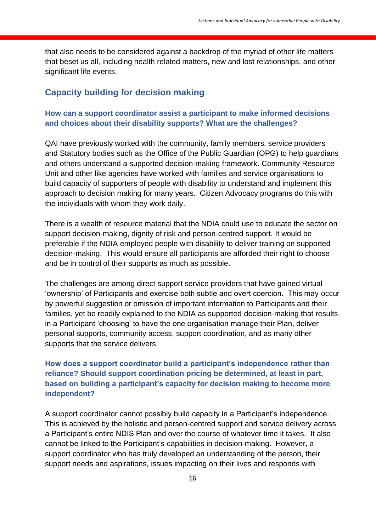that also needs to be considered against a backdrop of the myriad of other life matters that beset us all, including health related matters, new and lost relationships, and other significant life events.

#### **Capacity building for decision making**

#### **How can a support coordinator assist a participant to make informed decisions and choices about their disability supports? What are the challenges?**

QAI have previously worked with the community, family members, service providers and Statutory bodies such as the Office of the Public Guardian (OPG) to help guardians and others understand a supported decision-making framework. Community Resource Unit and other like agencies have worked with families and service organisations to build capacity of supporters of people with disability to understand and implement this approach to decision making for many years. Citizen Advocacy programs do this with the individuals with whom they work daily.

There is a wealth of resource material that the NDIA could use to educate the sector on support decision-making, dignity of risk and person-centred support. It would be preferable if the NDIA employed people with disability to deliver training on supported decision-making. This would ensure all participants are afforded their right to choose and be in control of their supports as much as possible.

The challenges are among direct support service providers that have gained virtual 'ownership' of Participants and exercise both subtle and overt coercion. This may occur by powerful suggestion or omission of important information to Participants and their families, yet be readily explained to the NDIA as supported decision-making that results in a Participant 'choosing' to have the one organisation manage their Plan, deliver personal supports, community access, support coordination, and as many other supports that the service delivers.

#### **How does a support coordinator build a participant's independence rather than reliance? Should support coordination pricing be determined, at least in part, based on building a participant's capacity for decision making to become more independent?**

A support coordinator cannot possibly build capacity in a Participant's independence. This is achieved by the holistic and person-centred support and service delivery across a Participant's entire NDIS Plan and over the course of whatever time it takes. It also cannot be linked to the Participant's capabilities in decision-making. However, a support coordinator who has truly developed an understanding of the person, their support needs and aspirations, issues impacting on their lives and responds with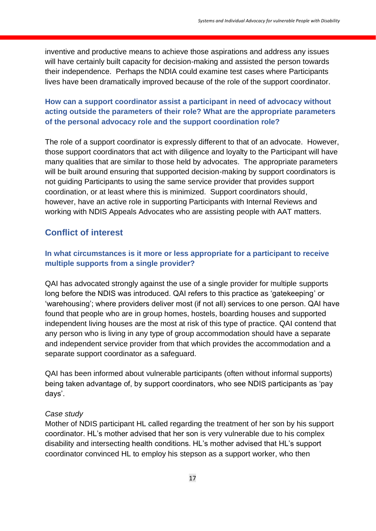inventive and productive means to achieve those aspirations and address any issues will have certainly built capacity for decision-making and assisted the person towards their independence. Perhaps the NDIA could examine test cases where Participants lives have been dramatically improved because of the role of the support coordinator.

#### **How can a support coordinator assist a participant in need of advocacy without acting outside the parameters of their role? What are the appropriate parameters of the personal advocacy role and the support coordination role?**

The role of a support coordinator is expressly different to that of an advocate. However, those support coordinators that act with diligence and loyalty to the Participant will have many qualities that are similar to those held by advocates. The appropriate parameters will be built around ensuring that supported decision-making by support coordinators is not guiding Participants to using the same service provider that provides support coordination, or at least where this is minimized. Support coordinators should, however, have an active role in supporting Participants with Internal Reviews and working with NDIS Appeals Advocates who are assisting people with AAT matters.

### **Conflict of interest**

#### **In what circumstances is it more or less appropriate for a participant to receive multiple supports from a single provider?**

QAI has advocated strongly against the use of a single provider for multiple supports long before the NDIS was introduced. QAI refers to this practice as 'gatekeeping' or 'warehousing'; where providers deliver most (if not all) services to one person. QAI have found that people who are in group homes, hostels, boarding houses and supported independent living houses are the most at risk of this type of practice. QAI contend that any person who is living in any type of group accommodation should have a separate and independent service provider from that which provides the accommodation and a separate support coordinator as a safeguard.

QAI has been informed about vulnerable participants (often without informal supports) being taken advantage of, by support coordinators, who see NDIS participants as 'pay days'.

#### *Case study*

Mother of NDIS participant HL called regarding the treatment of her son by his support coordinator. HL's mother advised that her son is very vulnerable due to his complex disability and intersecting health conditions. HL's mother advised that HL's support coordinator convinced HL to employ his stepson as a support worker, who then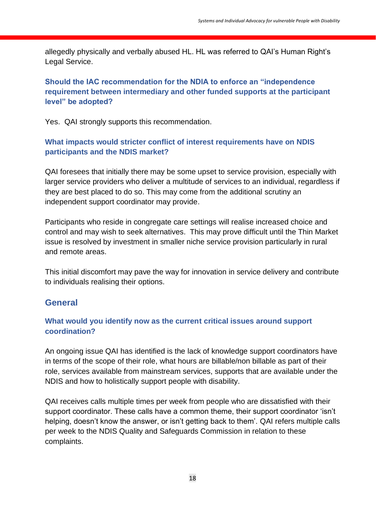allegedly physically and verbally abused HL. HL was referred to QAI's Human Right's Legal Service.

#### **Should the IAC recommendation for the NDIA to enforce an "independence requirement between intermediary and other funded supports at the participant level" be adopted?**

Yes. QAI strongly supports this recommendation.

#### **What impacts would stricter conflict of interest requirements have on NDIS participants and the NDIS market?**

QAI foresees that initially there may be some upset to service provision, especially with larger service providers who deliver a multitude of services to an individual, regardless if they are best placed to do so. This may come from the additional scrutiny an independent support coordinator may provide.

Participants who reside in congregate care settings will realise increased choice and control and may wish to seek alternatives. This may prove difficult until the Thin Market issue is resolved by investment in smaller niche service provision particularly in rural and remote areas.

This initial discomfort may pave the way for innovation in service delivery and contribute to individuals realising their options.

#### **General**

#### **What would you identify now as the current critical issues around support coordination?**

An ongoing issue QAI has identified is the lack of knowledge support coordinators have in terms of the scope of their role, what hours are billable/non billable as part of their role, services available from mainstream services, supports that are available under the NDIS and how to holistically support people with disability.

QAI receives calls multiple times per week from people who are dissatisfied with their support coordinator. These calls have a common theme, their support coordinator 'isn't helping, doesn't know the answer, or isn't getting back to them'. QAI refers multiple calls per week to the NDIS Quality and Safeguards Commission in relation to these complaints.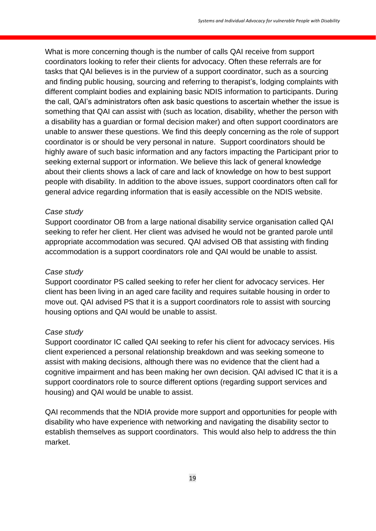What is more concerning though is the number of calls QAI receive from support coordinators looking to refer their clients for advocacy. Often these referrals are for tasks that QAI believes is in the purview of a support coordinator, such as a sourcing and finding public housing, sourcing and referring to therapist's, lodging complaints with different complaint bodies and explaining basic NDIS information to participants. During the call, QAI's administrators often ask basic questions to ascertain whether the issue is something that QAI can assist with (such as location, disability, whether the person with a disability has a guardian or formal decision maker) and often support coordinators are unable to answer these questions. We find this deeply concerning as the role of support coordinator is or should be very personal in nature. Support coordinators should be highly aware of such basic information and any factors impacting the Participant prior to seeking external support or information. We believe this lack of general knowledge about their clients shows a lack of care and lack of knowledge on how to best support people with disability. In addition to the above issues, support coordinators often call for general advice regarding information that is easily accessible on the NDIS website.

#### *Case study*

Support coordinator OB from a large national disability service organisation called QAI seeking to refer her client. Her client was advised he would not be granted parole until appropriate accommodation was secured. QAI advised OB that assisting with finding accommodation is a support coordinators role and QAI would be unable to assist.

#### *Case study*

Support coordinator PS called seeking to refer her client for advocacy services. Her client has been living in an aged care facility and requires suitable housing in order to move out. QAI advised PS that it is a support coordinators role to assist with sourcing housing options and QAI would be unable to assist.

#### *Case study*

Support coordinator IC called QAI seeking to refer his client for advocacy services. His client experienced a personal relationship breakdown and was seeking someone to assist with making decisions, although there was no evidence that the client had a cognitive impairment and has been making her own decision. QAI advised IC that it is a support coordinators role to source different options (regarding support services and housing) and QAI would be unable to assist.

QAI recommends that the NDIA provide more support and opportunities for people with disability who have experience with networking and navigating the disability sector to establish themselves as support coordinators. This would also help to address the thin market.